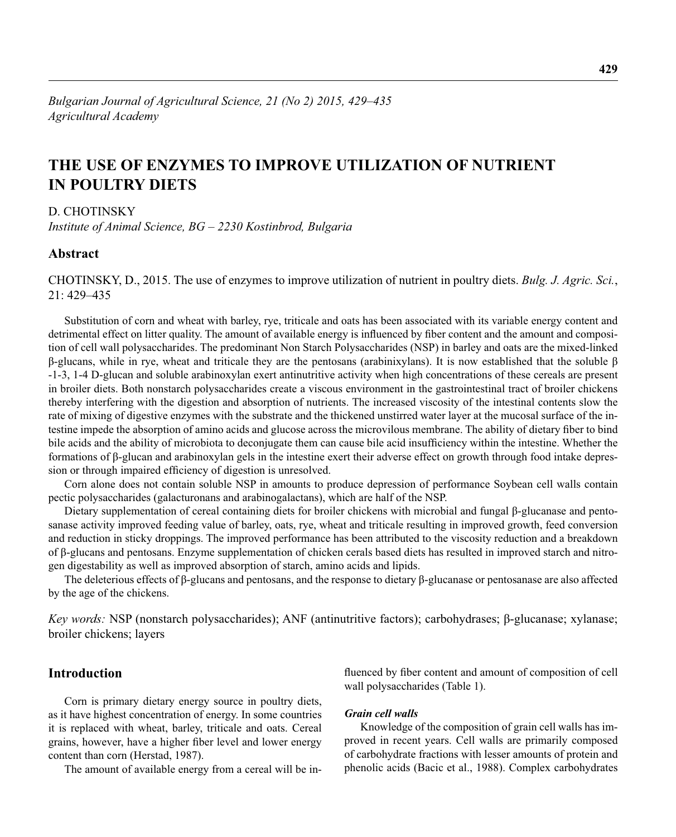# **THE USE OF ENZYMES TO IMPROVE UTILIZATION OF NUTRIENT IN POULTRY DIETS**

D. CHOTINSKY

*Institute of Animal Science, BG – 2230 Kostinbrod, Bulgaria*

## **Abstract**

CHOTINSKY, D., 2015. The use of enzymes to improve utilization of nutrient in poultry diets. *Bulg. J. Agric. Sci.*, 21: 429–435

Substitution of corn and wheat with barley, rye, triticale and oats has been associated with its variable energy content and detrimental effect on litter quality. The amount of available energy is influenced by fiber content and the amount and composition of cell wall polysaccharides. The predominant Non Starch Polysaccharides (NSP) in barley and oats are the mixed-linked β-glucans, while in rye, wheat and triticale they are the pentosans (arabinixylans). It is now established that the soluble β -1-3, 1-4 D-glucan and soluble arabinoxylan exert antinutritive activity when high concentrations of these cereals are present in broiler diets. Both nonstarch polysaccharides create a viscous environment in the gastrointestinal tract of broiler chickens thereby interfering with the digestion and absorption of nutrients. The increased viscosity of the intestinal contents slow the rate of mixing of digestive enzymes with the substrate and the thickened unstirred water layer at the mucosal surface of the intestine impede the absorption of amino acids and glucose across the microvilous membrane. The ability of dietary fiber to bind bile acids and the ability of microbiota to deconjugate them can cause bile acid insufficiency within the intestine. Whether the formations of β-glucan and arabinoxylan gels in the intestine exert their adverse effect on growth through food intake depression or through impaired efficiency of digestion is unresolved.

Corn alone does not contain soluble NSP in amounts to produce depression of performance Soybean cell walls contain pectic polysaccharides (galacturonans and arabinogalactans), which are half of the NSP.

Dietary supplementation of cereal containing diets for broiler chickens with microbial and fungal β-glucanase and pentosanase activity improved feeding value of barley, oats, rye, wheat and triticale resulting in improved growth, feed conversion and reduction in sticky droppings. The improved performance has been attributed to the viscosity reduction and a breakdown of β-glucans and pentosans. Enzyme supplementation of chicken cerals based diets has resulted in improved starch and nitrogen digestability as well as improved absorption of starch, amino acids and lipids.

The deleterious effects of β-glucans and pentosans, and the response to dietary β-glucanase or pentosanase are also affected by the age of the chickens.

*Key words:* NSP (nonstarch polysaccharides); ANF (antinutritive factors); carbohydrases; β-glucanase; xylanase; broiler chickens; layers

# **Introduction**

Corn is primary dietary energy source in poultry diets, as it have highest concentration of energy. In some countries it is replaced with wheat, barley, triticale and oats. Cereal grains, however, have a higher fiber level and lower energy content than corn (Herstad, 1987).

The amount of available energy from a cereal will be in-

fluenced by fiber content and amount of composition of cell wall polysaccharides (Table 1).

#### *Grain cell walls*

Knowledge of the composition of grain cell walls has improved in recent years. Cell walls are primarily composed of carbohydrate fractions with lesser amounts of protein and phenolic acids (Bacic et al., 1988). Complex carbohydrates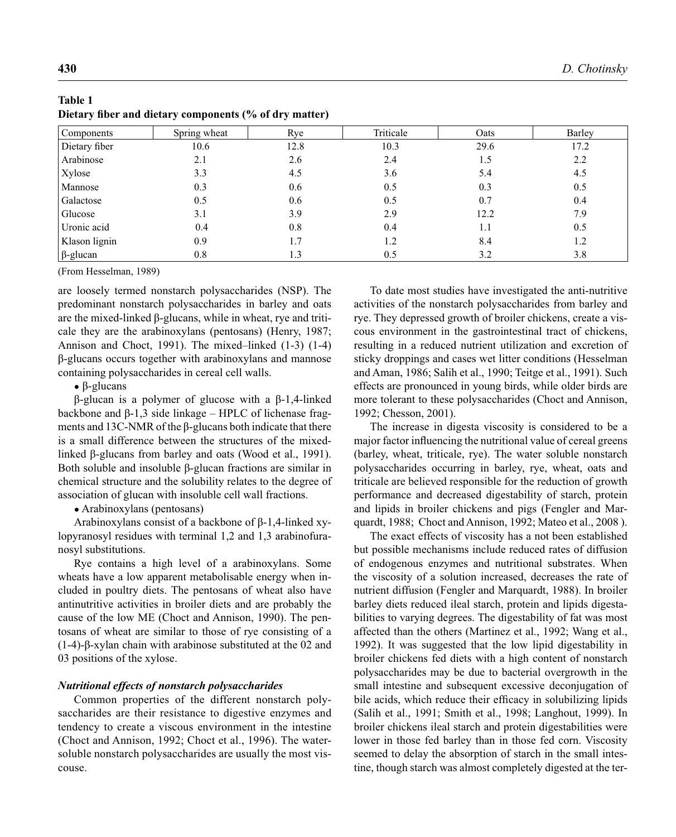| $\sim$          | $\checkmark$ | $\overline{ }$<br>$\overline{\phantom{a}}$ |           |      |        |
|-----------------|--------------|--------------------------------------------|-----------|------|--------|
| Components      | Spring wheat | Rye                                        | Triticale | Oats | Barley |
| Dietary fiber   | 10.6         | 12.8                                       | 10.3      | 29.6 | 17.2   |
| Arabinose       | 2.1          | 2.6                                        | 2.4       | 1.5  | 2.2    |
| Xylose          | 3.3          | 4.5                                        | 3.6       | 5.4  | 4.5    |
| Mannose         | 0.3          | 0.6                                        | 0.5       | 0.3  | 0.5    |
| Galactose       | 0.5          | 0.6                                        | 0.5       | 0.7  | 0.4    |
| Glucose         | 3.1          | 3.9                                        | 2.9       | 12.2 | 7.9    |
| Uronic acid     | 0.4          | 0.8                                        | 0.4       | 1.1  | 0.5    |
| Klason lignin   | 0.9          | 1.7                                        | 1.2       | 8.4  | 1.2    |
| $\beta$ -glucan | 0.8          | 1.3                                        | 0.5       | 3.2  | 3.8    |

| Table 1 |  |                                                        |  |  |
|---------|--|--------------------------------------------------------|--|--|
|         |  | Dietary fiber and dietary components (% of dry matter) |  |  |

(From Hesselman, 1989)

are loosely termed nonstarch polysaccharides (NSP). The predominant nonstarch polysaccharides in barley and oats are the mixed-linked  $β$ -glucans, while in wheat, rye and triticale they are the arabinoxylans (pentosans) (Henry, 1987; Annison and Choct, 1991). The mixed–linked (1-3) (1-4) β-glucans occurs together with arabinoxylans and mannose containing polysaccharides in cereal cell walls.

 $\bullet$  β-glucans

β-glucan is a polymer of glucose with a β-1,4-linked backbone and β-1,3 side linkage – HPLC of lichenase fragments and 13C-NMR of the β-glucans both indicate that there is a small difference between the structures of the mixedlinked β-glucans from barley and oats (Wood et al., 1991). Both soluble and insoluble β-glucan fractions are similar in chemical structure and the solubility relates to the degree of association of glucan with insoluble cell wall fractions.

• Arabinoxylans (pentosans)

Arabinoxylans consist of a backbone of β-1,4-linked xylopyranosyl residues with terminal 1,2 and 1,3 arabinofuranosyl substitutions.

Rye contains a high level of a arabinoxylans. Some wheats have a low apparent metabolisable energy when included in poultry diets. The pentosans of wheat also have antinutritive activities in broiler diets and are probably the cause of the low ME (Choct and Annison, 1990). The pentosans of wheat are similar to those of rye consisting of a (1-4)-β-xylan chain with arabinose substituted at the 02 and 03 positions of the xylose.

#### *Nutritional effects of nonstarch polysaccharides*

Common properties of the different nonstarch polysaccharides are their resistance to digestive enzymes and tendency to create a viscous environment in the intestine (Choct and Annison, 1992; Choct et al., 1996). The watersoluble nonstarch polysaccharides are usually the most viscouse.

To date most studies have investigated the anti-nutritive activities of the nonstarch polysaccharides from barley and rye. They depressed growth of broiler chickens, create a viscous environment in the gastrointestinal tract of chickens, resulting in a reduced nutrient utilization and excretion of sticky droppings and cases wet litter conditions (Hesselman and Aman, 1986; Salih et al., 1990; Teitge et al., 1991). Such effects are pronounced in young birds, while older birds are more tolerant to these polysaccharides (Choct and Annison, 1992; Chesson, 2001).

The increase in digesta viscosity is considered to be a major factor influencing the nutritional value of cereal greens (barley, wheat, triticale, rye). The water soluble nonstarch polysaccharides occurring in barley, rye, wheat, oats and triticale are believed responsible for the reduction of growth performance and decreased digestability of starch, protein and lipids in broiler chickens and pigs (Fengler and Marquardt, 1988; Choct and Annison, 1992; Mateo et al., 2008 ).

The exact effects of viscosity has a not been established but possible mechanisms include reduced rates of diffusion of endogenous enzymes and nutritional substrates. When the viscosity of a solution increased, decreases the rate of nutrient diffusion (Fengler and Marquardt, 1988). In broiler barley diets reduced ileal starch, protein and lipids digestabilities to varying degrees. The digestability of fat was most affected than the others (Martinez et al., 1992; Wang et al., 1992). It was suggested that the low lipid digestability in broiler chickens fed diets with a high content of nonstarch polysaccharides may be due to bacterial overgrowth in the small intestine and subsequent excessive deconjugation of bile acids, which reduce their efficacy in solubilizing lipids (Salih et al., 1991; Smith et al., 1998; Langhout, 1999). In broiler chickens ileal starch and protein digestabilities were lower in those fed barley than in those fed corn. Viscosity seemed to delay the absorption of starch in the small intestine, though starch was almost completely digested at the ter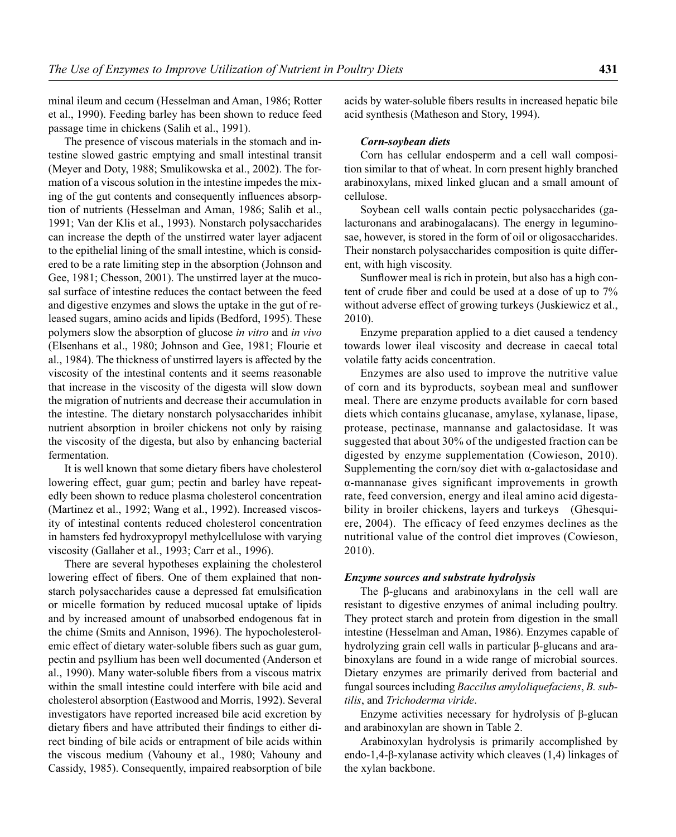minal ileum and cecum (Hesselman and Aman, 1986; Rotter et al., 1990). Feeding barley has been shown to reduce feed passage time in chickens (Salih et al., 1991).

The presence of viscous materials in the stomach and intestine slowed gastric emptying and small intestinal transit (Meyer and Doty, 1988; Smulikowska et al., 2002). The formation of a viscous solution in the intestine impedes the mixing of the gut contents and consequently influences absorption of nutrients (Hesselman and Aman, 1986; Salih et al., 1991; Van der Klis et al., 1993). Nonstarch polysaccharides can increase the depth of the unstirred water layer adjacent to the epithelial lining of the small intestine, which is considered to be a rate limiting step in the absorption (Johnson and Gee, 1981; Chesson, 2001). The unstirred layer at the mucosal surface of intestine reduces the contact between the feed and digestive enzymes and slows the uptake in the gut of released sugars, amino acids and lipids (Bedford, 1995). These polymers slow the absorption of glucose *in vitro* and *in vivo*  (Elsenhans et al., 1980; Johnson and Gee, 1981; Flourie et al., 1984). The thickness of unstirred layers is affected by the viscosity of the intestinal contents and it seems reasonable that increase in the viscosity of the digesta will slow down the migration of nutrients and decrease their accumulation in the intestine. The dietary nonstarch polysaccharides inhibit nutrient absorption in broiler chickens not only by raising the viscosity of the digesta, but also by enhancing bacterial fermentation.

It is well known that some dietary fibers have cholesterol lowering effect, guar gum; pectin and barley have repeatedly been shown to reduce plasma cholesterol concentration (Martinez et al., 1992; Wang et al., 1992). Increased viscosity of intestinal contents reduced cholesterol concentration in hamsters fed hydroxypropyl methylcellulose with varying viscosity (Gallaher et al., 1993; Carr et al., 1996).

There are several hypotheses explaining the cholesterol lowering effect of fibers. One of them explained that nonstarch polysaccharides cause a depressed fat emulsification or micelle formation by reduced mucosal uptake of lipids and by increased amount of unabsorbed endogenous fat in the chime (Smits and Annison, 1996). The hypocholesterolemic effect of dietary water-soluble fibers such as guar gum, pectin and psyllium has been well documented (Anderson et al., 1990). Many water-soluble fibers from a viscous matrix within the small intestine could interfere with bile acid and cholesterol absorption (Eastwood and Morris, 1992). Several investigators have reported increased bile acid excretion by dietary fibers and have attributed their findings to either direct binding of bile acids or entrapment of bile acids within the viscous medium (Vahouny et al., 1980; Vahouny and Cassidy, 1985). Consequently, impaired reabsorption of bile acids by water-soluble fibers results in increased hepatic bile acid synthesis (Matheson and Story, 1994).

#### *Corn-soybean diets*

Corn has cellular endosperm and a cell wall composition similar to that of wheat. In corn present highly branched arabinoxylans, mixed linked glucan and a small amount of cellulose.

Soybean cell walls contain pectic polysaccharides (galacturonans and arabinogalacans). The energy in leguminosae, however, is stored in the form of oil or oligosaccharides. Their nonstarch polysaccharides composition is quite different, with high viscosity.

Sunflower meal is rich in protein, but also has a high content of crude fiber and could be used at a dose of up to 7% without adverse effect of growing turkeys (Juskiewicz et al., 2010).

Enzyme preparation applied to a diet caused a tendency towards lower ileal viscosity and decrease in caecal total volatile fatty acids concentration.

Enzymes are also used to improve the nutritive value of corn and its byproducts, soybean meal and sunflower meal. There are enzyme products available for corn based diets which contains glucanase, amylase, xylanase, lipase, protease, pectinase, mannanse and galactosidase. It was suggested that about 30% of the undigested fraction can be digested by enzyme supplementation (Cowieson, 2010). Supplementing the corn/soy diet with  $\alpha$ -galactosidase and α-mannanase gives significant improvements in growth rate, feed conversion, energy and ileal amino acid digestability in broiler chickens, layers and turkeys (Ghesquiere, 2004). The efficacy of feed enzymes declines as the nutritional value of the control diet improves (Cowieson, 2010).

#### *Enzyme sources and substrate hydrolysis*

The β-glucans and arabinoxylans in the cell wall are resistant to digestive enzymes of animal including poultry. They protect starch and protein from digestion in the small intestine (Hesselman and Aman, 1986). Enzymes capable of hydrolyzing grain cell walls in particular β-glucans and arabinoxylans are found in a wide range of microbial sources. Dietary enzymes are primarily derived from bacterial and fungal sources including *Baccilus amyloliquefaciens*, *B. subtilis*, and *Trichoderma viride*.

Enzyme activities necessary for hydrolysis of β-glucan and arabinoxylan are shown in Table 2.

Arabinoxylan hydrolysis is primarily accomplished by endo-1,4-β-xylanase activity which cleaves (1,4) linkages of the xylan backbone.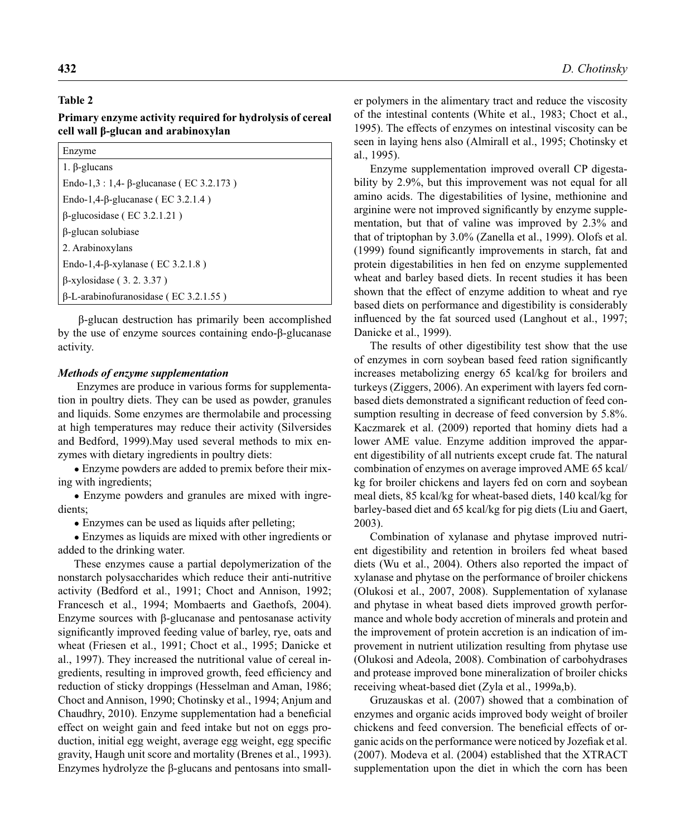## **Table 2**

**Primary enzyme activity required for hydrolysis of cereal cell wall β-glucan and arabinoxylan**

| Enzyme                                          |  |
|-------------------------------------------------|--|
| $1. \beta$ -glucans                             |  |
| Endo-1,3 : 1,4- $\beta$ -glucanase (EC 3.2.173) |  |
| Endo-1,4- $\beta$ -glucanase (EC 3.2.1.4)       |  |
| $\beta$ -glucosidase (EC 3.2.1.21)              |  |
| β-glucan solubiase                              |  |
| 2. Arabinoxylans                                |  |
| Endo-1,4- $\beta$ -xylanase (EC 3.2.1.8)        |  |
| $\beta$ -xylosidase (3.2.3.37)                  |  |
| $\beta$ -L-arabinofuranosidase (EC 3.2.1.55)    |  |

 β-glucan destruction has primarily been accomplished by the use of enzyme sources containing endo-β-glucanase activity.

#### *Methods of enzyme supplementation*

 Enzymes are produce in various forms for supplementation in poultry diets. They can be used as powder, granules and liquids. Some enzymes are thermolabile and processing at high temperatures may reduce their activity (Silversides and Bedford, 1999).May used several methods to mix enzymes with dietary ingredients in poultry diets:

● Enzyme powders are added to premix before their mixing with ingredients;

• Enzyme powders and granules are mixed with ingredients;

• Enzymes can be used as liquids after pelleting;

● Enzymes as liquids are mixed with other ingredients or added to the drinking water.

These enzymes cause a partial depolymerization of the nonstarch polysaccharides which reduce their anti-nutritive activity (Bedford et al., 1991; Choct and Annison, 1992; Francesch et al., 1994; Mombaerts and Gaethofs, 2004). Enzyme sources with β-glucanase and pentosanase activity significantly improved feeding value of barley, rye, oats and wheat (Friesen et al., 1991; Choct et al., 1995; Danicke et al., 1997). They increased the nutritional value of cereal ingredients, resulting in improved growth, feed efficiency and reduction of sticky droppings (Hesselman and Aman, 1986; Choct and Annison, 1990; Chotinsky et al., 1994; Anjum and Chaudhry, 2010). Enzyme supplementation had a beneficial effect on weight gain and feed intake but not on eggs production, initial egg weight, average egg weight, egg specific gravity, Haugh unit score and mortality (Brenes et al., 1993). Enzymes hydrolyze the β-glucans and pentosans into smaller polymers in the alimentary tract and reduce the viscosity of the intestinal contents (White et al., 1983; Choct et al., 1995). The effects of enzymes on intestinal viscosity can be seen in laying hens also (Almirall et al., 1995; Chotinsky et al., 1995).

Enzyme supplementation improved overall CP digestability by 2.9%, but this improvement was not equal for all amino acids. The digestabilities of lysine, methionine and arginine were not improved significantly by enzyme supplementation, but that of valine was improved by 2.3% and that of triptophan by 3.0% (Zanella et al., 1999). Olofs et al. (1999) found significantly improvements in starch, fat and protein digestabilities in hen fed on enzyme supplemented wheat and barley based diets. In recent studies it has been shown that the effect of enzyme addition to wheat and rye based diets on performance and digestibility is considerably influenced by the fat sourced used (Langhout et al., 1997; Danicke et al., 1999).

The results of other digestibility test show that the use of enzymes in corn soybean based feed ration significantly increases metabolizing energy 65 kcal/kg for broilers and turkeys (Ziggers, 2006). An experiment with layers fed cornbased diets demonstrated a significant reduction of feed consumption resulting in decrease of feed conversion by 5.8%. Kaczmarek et al. (2009) reported that hominy diets had a lower AME value. Enzyme addition improved the apparent digestibility of all nutrients except crude fat. The natural combination of enzymes on average improved AME 65 kcal/ kg for broiler chickens and layers fed on corn and soybean meal diets, 85 kcal/kg for wheat-based diets, 140 kcal/kg for barley-based diet and 65 kcal/kg for pig diets (Liu and Gaert, 2003).

Combination of xylanase and phytase improved nutrient digestibility and retention in broilers fed wheat based diets (Wu et al., 2004). Others also reported the impact of xylanase and phytase on the performance of broiler chickens (Olukosi et al., 2007, 2008). Supplementation of xylanase and phytase in wheat based diets improved growth performance and whole body accretion of minerals and protein and the improvement of protein accretion is an indication of improvement in nutrient utilization resulting from phytase use (Olukosi and Adeola, 2008). Combination of carbohydrases and protease improved bone mineralization of broiler chicks receiving wheat-based diet (Zyla et al., 1999a,b).

Gruzauskas et al. (2007) showed that a combination of enzymes and organic acids improved body weight of broiler chickens and feed conversion. The beneficial effects of organic acids on the performance were noticed by Jozefiak et al. (2007). Modeva et al. (2004) established that the XTRACT supplementation upon the diet in which the corn has been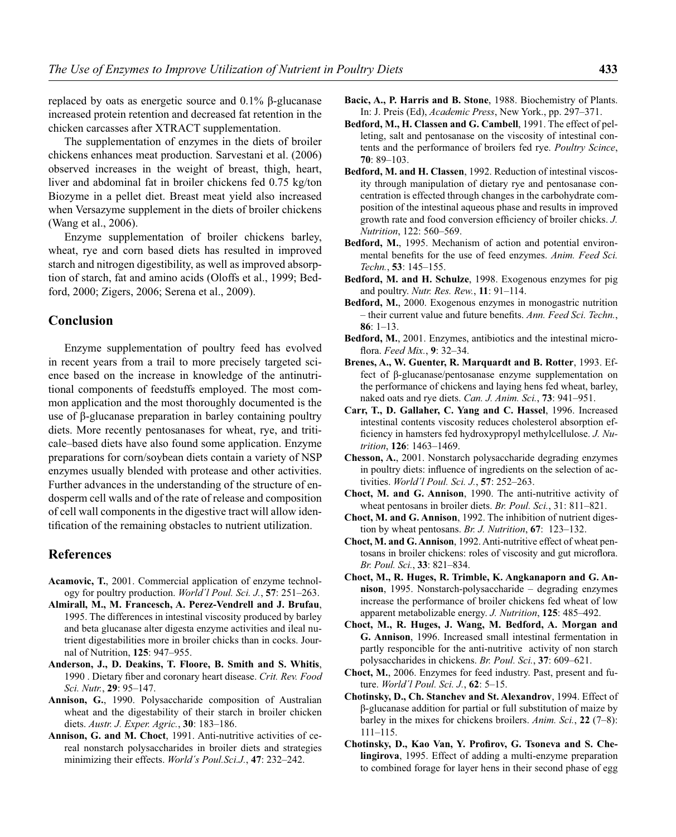replaced by oats as energetic source and 0.1% β-glucanase increased protein retention and decreased fat retention in the chicken carcasses after XTRACT supplementation.

The supplementation of enzymes in the diets of broiler chickens enhances meat production. Sarvestani et al. (2006) observed increases in the weight of breast, thigh, heart, liver and abdominal fat in broiler chickens fed 0.75 kg/ton Biozyme in a pellet diet. Breast meat yield also increased when Versazyme supplement in the diets of broiler chickens (Wang et al., 2006).

Enzyme supplementation of broiler chickens barley, wheat, rye and corn based diets has resulted in improved starch and nitrogen digestibility, as well as improved absorption of starch, fat and amino acids (Oloffs et al., 1999; Bedford, 2000; Zigers, 2006; Serena et al., 2009).

## **Conclusion**

Enzyme supplementation of poultry feed has evolved in recent years from a trail to more precisely targeted science based on the increase in knowledge of the antinutritional components of feedstuffs employed. The most common application and the most thoroughly documented is the use of β-glucanase preparation in barley containing poultry diets. More recently pentosanases for wheat, rye, and triticale–based diets have also found some application. Enzyme preparations for corn/soybean diets contain a variety of NSP enzymes usually blended with protease and other activities. Further advances in the understanding of the structure of endosperm cell walls and of the rate of release and composition of cell wall components in the digestive tract will allow identification of the remaining obstacles to nutrient utilization.

### **References**

- **Acamovic, T.**, 2001. Commercial application of enzyme technology for poultry production. *World´l Poul. Sci. J.*, **57**: 251–263.
- **Almirall, M., M. Francesch, A. Perez-Vendrell and J. Brufau**, 1995. The differences in intestinal viscosity produced by barley and beta glucanase alter digesta enzyme activities and ileal nutrient digestabilities more in broiler chicks than in cocks. Journal of Nutrition, **125**: 947–955.
- **Anderson, J., D. Deakins, T. Floore, B. Smith and S. Whitis**, 1990 . Dietary fiber and coronary heart disease. Crit. Rev. Food *Sci. Nutr.*, **29**: 95–147.
- **Annison, G.**, 1990. Polysaccharide composition of Australian wheat and the digestability of their starch in broiler chicken diets. *Austr. J. Exper. Agric.*, **30**: 183–186.
- **Annison, G. and M. Choct**, 1991. Anti-nutritive activities of cereal nonstarch polysaccharides in broiler diets and strategies minimizing their effects. *World´s Poul.Sci.J.*, **47**: 232–242.
- **Bacic, A., P. Harris and B. Stone**, 1988. Biochemistry of Plants. In: J. Preis (Ed), *Academic Press*, New York., pp. 297–371.
- **Bedford, M., H. Classen and G. Cambell**, 1991. The effect of pelleting, salt and pentosanase on the viscosity of intestinal contents and the performance of broilers fed rye. *Poultry Scince*, **70**: 89–103.
- **Bedford, M. and H. Classen**, 1992. Reduction of intestinal viscosity through manipulation of dietary rye and pentosanase concentration is effected through changes in the carbohydrate composition of the intestinal aqueous phase and results in improved growth rate and food conversion efficiency of broiler chicks. *J. Nutrition*, 122: 560–569.
- **Bedford, M.**, 1995. Mechanism of action and potential environmental benefits for the use of feed enzymes. Anim. Feed Sci. *Techn.*, **53**: 145–155.
- **Bedford, M. and H. Schulze**, 1998. Exogenous enzymes for pig and poultry. *Nutr. Res. Rew.*, **11**: 91–114.
- **Bedford, M.**, 2000. Exogenous enzymes in monogastric nutrition – their current value and future benefi ts. *Ann. Feed Sci. Techn.*, **86**: 1–13.
- **Bedford, M.**, 2001. Enzymes, antibiotics and the intestinal microfl ora. *Feed Mix.*, **9**: 32–34.
- **Brenes, A., W. Guenter, R. Marquardt and B. Rotter**, 1993. Effect of β-glucanase/pentosanase enzyme supplementation on the performance of chickens and laying hens fed wheat, barley, naked oats and rye diets. *Can. J. Anim. Sci.*, **73**: 941–951.
- **Carr, T., D. Gallaher, C. Yang and C. Hassel**, 1996. Increased intestinal contents viscosity reduces cholesterol absorption efficiency in hamsters fed hydroxypropyl methylcellulose. *J. Nutrition*, **126**: 1463–1469.
- **Chesson, A.**, 2001. Nonstarch polysaccharide degrading enzymes in poultry diets: influence of ingredients on the selection of activities. *World´l Poul. Sci. J.*, **57**: 252–263.
- **Choct, M. and G. Annison**, 1990. The anti-nutritive activity of wheat pentosans in broiler diets. *Br. Poul. Sci.*, 31: 811–821.
- **Choct, M. and G. Annison**, 1992. The inhibition of nutrient digestion by wheat pentosans. *Br. J. Nutrition*, **67**: 123–132.
- **Choct, M. and G. Annison**, 1992. Anti-nutritive effect of wheat pentosans in broiler chickens: roles of viscosity and gut microflora. *Br. Poul. Sci.*, **33**: 821–834.
- **Choct, M., R. Huges, R. Trimble, K. Angkanaporn and G. Annison**, 1995. Nonstarch-polysaccharide – degrading enzymes increase the performance of broiler chickens fed wheat of low apparent metabolizable energy. *J. Nutrition*, **125**: 485–492.
- **Choct, M., R. Huges, J. Wang, M. Bedford, A. Morgan and G. Annison**, 1996. Increased small intestinal fermentation in partly responcible for the anti-nutritive activity of non starch polysaccharides in chickens. *Br. Poul. Sci.*, **37**: 609–621.
- **Choct, M.**, 2006. Enzymes for feed industry. Past, present and future. *World´l Poul. Sci. J.*, **62**: 5–15.
- **Chotinsky, D., Ch. Stanchev and St. Alexandrov**, 1994. Effect of β-glucanase addition for partial or full substitution of maize by barley in the mixes for chickens broilers. *Anim. Sci.*, **22** (7–8): 111–115.
- Chotinsky, D., Kao Van, Y. Profirov, G. Tsoneva and S. Che**lingirova**, 1995. Effect of adding a multi-enzyme preparation to combined forage for layer hens in their second phase of egg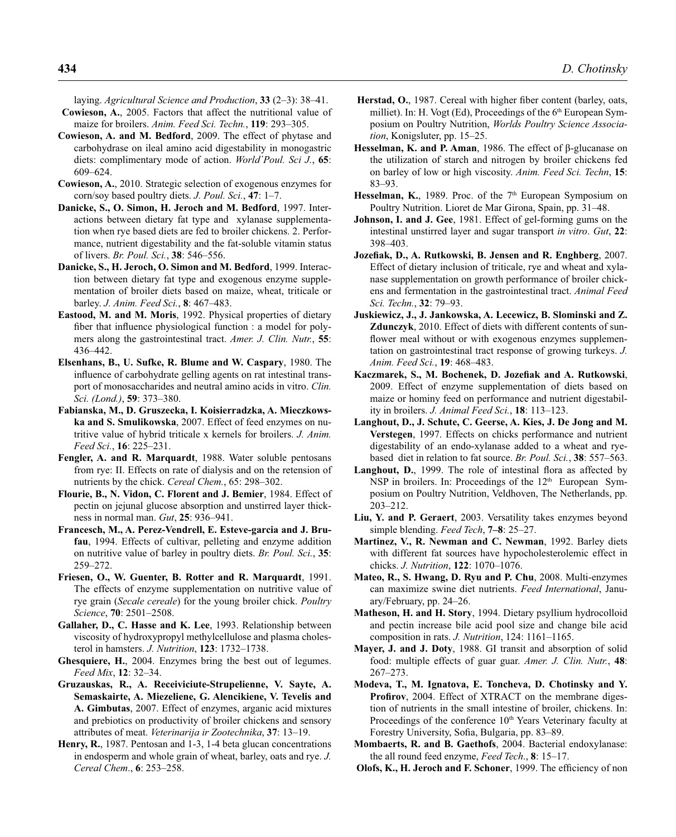laying. *Agricultural Science and Production*, **33** (2–3): 38–41.

- **Cowieson, A.**, 2005. Factors that affect the nutritional value of maize for broilers. *Anim. Feed Sci. Techn.*, **119**: 293–305.
- **Cowieson, A. and M. Bedford**, 2009. The effect of phytase and carbohydrase on ileal amino acid digestability in monogastric diets: complimentary mode of action. *World´Poul. Sci J.*, **65**: 609–624.
- **Cowieson, A.**, 2010. Strategic selection of exogenous enzymes for corn/soy based poultry diets. *J. Poul. Sci.*, **47**: 1–7.
- **Danicke, S., O. Simon, H. Jeroch and M. Bedford**, 1997. Interactions between dietary fat type and xylanase supplementation when rye based diets are fed to broiler chickens. 2. Performance, nutrient digestability and the fat-soluble vitamin status of livers. *Br. Poul. Sci.*, **38**: 546–556.
- **Danicke, S., H. Jeroch, O. Simon and M. Bedford**, 1999. Interaction between dietary fat type and exogenous enzyme supplementation of broiler diets based on maize, wheat, triticale or barley. *J. Anim. Feed Sci.*, **8**: 467–483.
- **Eastood, M. and M. Moris**, 1992. Physical properties of dietary fiber that influence physiological function : a model for polymers along the gastrointestinal tract. *Amer. J. Clin. Nutr.*, **55**: 436–442.
- **Elsenhans, B., U. Sufke, R. Blume and W. Caspary**, 1980. The influence of carbohydrate gelling agents on rat intestinal transport of monosaccharides and neutral amino acids in vitro. *Clin. Sci. (Lond.)*, **59**: 373–380.
- **Fabianska, M., D. Gruszecka, I. Koisierradzka, A. Mieczkowska and S. Smulikowska**, 2007. Effect of feed enzymes on nutritive value of hybrid triticale x kernels for broilers. *J. Anim. Feed Sci.*, **16**: 225–231.
- **Fengler, A. and R. Marquardt**, 1988. Water soluble pentosans from rye: II. Effects on rate of dialysis and on the retension of nutrients by the chick. *Cereal Chem.*, 65: 298–302.
- **Flourie, B., N. Vidon, C. Florent and J. Bemier**, 1984. Effect of pectin on jejunal glucose absorption and unstirred layer thickness in normal man. *Gut*, **25**: 936–941.
- **Francesch, M., A. Perez-Vendrell, E. Esteve-garcia and J. Brufau**, 1994. Effects of cultivar, pelleting and enzyme addition on nutritive value of barley in poultry diets. *Br. Poul. Sci.*, **35**: 259–272.
- **Friesen, O., W. Guenter, B. Rotter and R. Marquardt**, 1991. The effects of enzyme supplementation on nutritive value of rye grain (*Secale cereale*) for the young broiler chick. *Poultry Science*, **70**: 2501–2508.
- **Gallaher, D., C. Hasse and K. Lee**, 1993. Relationship between viscosity of hydroxypropyl methylcellulose and plasma cholesterol in hamsters. *J. Nutrition*, **123**: 1732–1738.
- **Ghesquiere, H.**, 2004. Enzymes bring the best out of legumes. *Feed Mix*, **12**: 32–34.
- **Gruzauskas, R., A. Receiviciute-Strupelienne, V. Sayte, A. Semaskairte, A. Miezeliene, G. Alencikiene, V. Tevelis and A. Gimbutas**, 2007. Effect of enzymes, arganic acid mixtures and prebiotics on productivity of broiler chickens and sensory attributes of meat. *Veterinarija ir Zootechnika*, **37**: 13–19.
- **Henry, R.**, 1987. Pentosan and 1-3, 1-4 beta glucan concentrations in endosperm and whole grain of wheat, barley, oats and rye. *J. Cereal Chem*., **6**: 253–258.
- Herstad, O., 1987. Cereal with higher fiber content (barley, oats, milliet). In: H. Vogt (Ed), Proceedings of the 6<sup>th</sup> European Symposium on Poultry Nutrition, *Worlds Poultry Science Association*, Konigsluter, pp. 15–25.
- **Hesselman, K. and P. Aman**, 1986. The effect of β-glucanase on the utilization of starch and nitrogen by broiler chickens fed on barley of low or high viscosity. *Anim. Feed Sci. Techn*, **15**: 83–93.
- **Hesselman, K., 1989.** Proc. of the 7<sup>th</sup> European Symposium on Poultry Nutrition. Lioret de Mar Girona, Spain, pp. 31–48.
- **Johnson, I. and J. Gee**, 1981. Effect of gel-forming gums on the intestinal unstirred layer and sugar transport *in vitro*. *Gut*, **22**: 398–403.
- Jozefiak, D., A. Rutkowski, B. Jensen and R. Enghberg, 2007. Effect of dietary inclusion of triticale, rye and wheat and xylanase supplementation on growth performance of broiler chickens and fermentation in the gastrointestinal tract. *Animal Feed Sci. Techn.*, **32**: 79–93.
- **Juskiewicz, J., J. Jankowska, A. Lecewicz, B. Slominski and Z. Zdunczyk**, 2010. Effect of diets with different contents of sunflower meal without or with exogenous enzymes supplementation on gastrointestinal tract response of growing turkeys. *J. Anim. Feed Sci.*, **19**: 468–483.
- Kaczmarek, S., M. Bochenek, D. Jozefiak and A. Rutkowski, 2009. Effect of enzyme supplementation of diets based on maize or hominy feed on performance and nutrient digestability in broilers. *J. Animal Feed Sci.*, **18**: 113–123.
- **Langhout, D., J. Schute, C. Geerse, A. Kies, J. De Jong and M. Verstegen**, 1997. Effects on chicks performance and nutrient digestability of an endo-xylanase added to a wheat and ryebased diet in relation to fat source. *Br. Poul. Sci.*, **38**: 557–563.
- **Langhout, D.**, 1999. The role of intestinal flora as affected by NSP in broilers. In: Proceedings of the  $12<sup>th</sup>$  European Symposium on Poultry Nutrition, Veldhoven, The Netherlands, pp. 203–212.
- **Liu, Y. and P. Geraert**, 2003. Versatility takes enzymes beyond simple blending. *Feed Tech*, **7–8**: 25–27.
- **Martinez, V., R. Newman and C. Newman**, 1992. Barley diets with different fat sources have hypocholesterolemic effect in chicks. *J. Nutrition*, **122**: 1070–1076.
- **Mateo, R., S. Hwang, D. Ryu and P. Chu**, 2008. Multi-enzymes can maximize swine diet nutrients. *Feed International*, January/February, pp. 24–26.
- **Matheson, H. and H. Story**, 1994. Dietary psyllium hydrocolloid and pectin increase bile acid pool size and change bile acid composition in rats. *J. Nutrition*, 124: 1161–1165.
- **Mayer, J. and J. Doty**, 1988. GI transit and absorption of solid food: multiple effects of guar guar. *Amer. J. Clin. Nutr.*, **48**: 267–273.
- **Modeva, T., M. Ignatova, E. Toncheva, D. Chotinsky and Y. Profirov**, 2004. Effect of XTRACT on the membrane digestion of nutrients in the small intestine of broiler, chickens. In: Proceedings of the conference 10<sup>th</sup> Years Veterinary faculty at Forestry University, Sofia, Bulgaria, pp. 83–89.
- **Mombaerts, R. and B. Gaethofs**, 2004. Bacterial endoxylanase: the all round feed enzyme, *Feed Tech*., **8**: 15–17.
- **Olofs, K., H. Jeroch and F. Schoner**, 1999. The efficiency of non